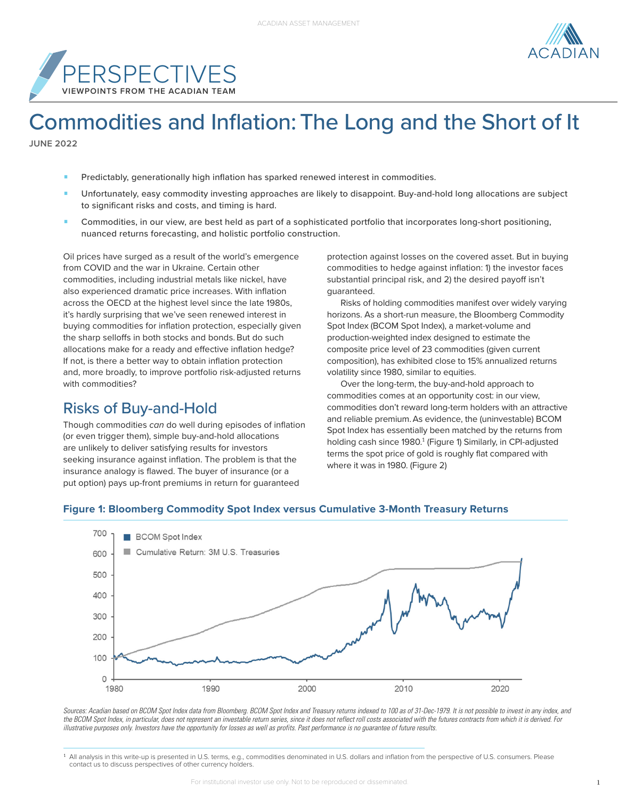



# Commodities and Inflation: The Long and the Short of It

**JUNE 2022**

- Predictably, generationally high inflation has sparked renewed interest in commodities.
- Unfortunately, easy commodity investing approaches are likely to disappoint. Buy-and-hold long allocations are subject to significant risks and costs, and timing is hard.
- **•** Commodities, in our view, are best held as part of a sophisticated portfolio that incorporates long-short positioning, nuanced returns forecasting, and holistic portfolio construction.

Oil prices have surged as a result of the world's emergence from COVID and the war in Ukraine. Certain other commodities, including industrial metals like nickel, have also experienced dramatic price increases. With inflation across the OECD at the highest level since the late 1980s, it's hardly surprising that we've seen renewed interest in buying commodities for inflation protection, especially given the sharp selloffs in both stocks and bonds. But do such allocations make for a ready and effective inflation hedge? If not, is there a better way to obtain inflation protection and, more broadly, to improve portfolio risk-adjusted returns with commodities?

## Risks of Buy-and-Hold

Though commodities *can* do well during episodes of inflation (or even trigger them), simple buy-and-hold allocations are unlikely to deliver satisfying results for investors seeking insurance against inflation. The problem is that the insurance analogy is flawed. The buyer of insurance (or a put option) pays up-front premiums in return for guaranteed

protection against losses on the covered asset. But in buying commodities to hedge against inflation: 1) the investor faces substantial principal risk, and 2) the desired payoff isn't guaranteed.

Risks of holding commodities manifest over widely varying horizons. As a short-run measure, the Bloomberg Commodity Spot Index (BCOM Spot Index), a market-volume and production-weighted index designed to estimate the composite price level of 23 commodities (given current composition), has exhibited close to 15% annualized returns volatility since 1980, similar to equities.

Over the long-term, the buy-and-hold approach to commodities comes at an opportunity cost: in our view, commodities don't reward long-term holders with an attractive and reliable premium.As evidence, the (uninvestable) BCOM Spot Index has essentially been matched by the returns from holding cash since 1980.<sup>1</sup> (Figure 1) Similarly, in CPI-adjusted terms the spot price of gold is roughly flat compared with where it was in 1980. (Figure 2)

#### 700 **BCOM** Spot Index Cumulative Return: 3M U.S. Treasuries 600

**Figure 1: Bloomberg Commodity Spot Index versus Cumulative 3-Month Treasury Returns**



*Sources: Acadian based on BCOM Spot Index data from Bloomberg. BCOM Spot Index and Treasury returns indexed to 100 as of 31-Dec-1979. It is not possible to invest in any index, and the BCOM Spot Index, in particular, does not represent an investable return series, since it does not reflect roll costs associated with the futures contracts from which it is derived. For illustrative purposes only. Investors have the opportunity for losses as well as profits. Past performance is no guarantee of future results.*

1 All analysis in this write-up is presented in U.S. terms, e.g., commodities denominated in U.S. dollars and inflation from the perspective of U.S. consumers. Please contact us to discuss perspectives of other currency holders.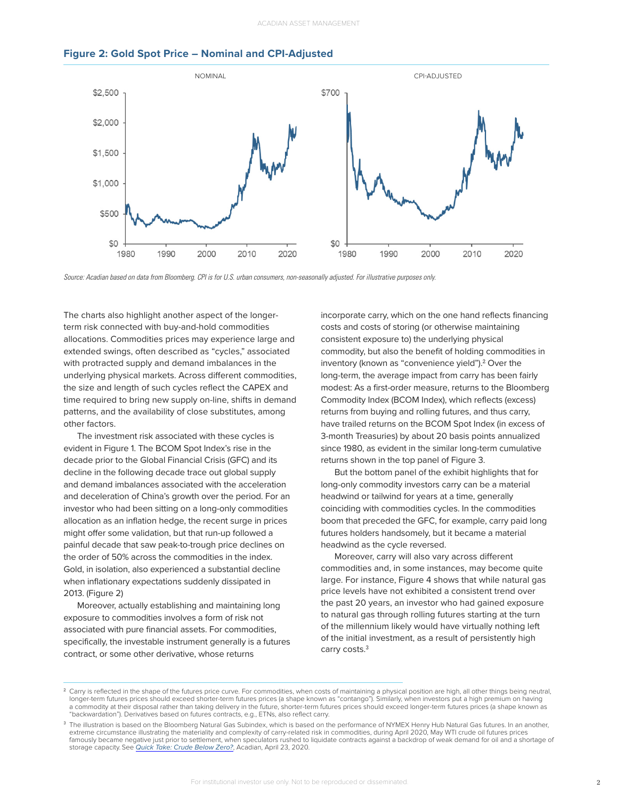



*Source: Acadian based on data from Bloomberg. CPI is for U.S. urban consumers, non-seasonally adjusted. For illustrative purposes only.*

The charts also highlight another aspect of the longerterm risk connected with buy-and-hold commodities allocations. Commodities prices may experience large and extended swings, often described as "cycles," associated with protracted supply and demand imbalances in the underlying physical markets. Across different commodities, the size and length of such cycles reflect the CAPEX and time required to bring new supply on-line, shifts in demand patterns, and the availability of close substitutes, among other factors.

The investment risk associated with these cycles is evident in Figure 1. The BCOM Spot Index's rise in the decade prior to the Global Financial Crisis (GFC) and its decline in the following decade trace out global supply and demand imbalances associated with the acceleration and deceleration of China's growth over the period. For an investor who had been sitting on a long-only commodities allocation as an inflation hedge, the recent surge in prices might offer some validation, but that run-up followed a painful decade that saw peak-to-trough price declines on the order of 50% across the commodities in the index. Gold, in isolation, also experienced a substantial decline when inflationary expectations suddenly dissipated in 2013. (Figure 2)

Moreover, actually establishing and maintaining long exposure to commodities involves a form of risk not associated with pure financial assets. For commodities, specifically, the investable instrument generally is a futures contract, or some other derivative, whose returns

incorporate carry, which on the one hand reflects financing costs and costs of storing (or otherwise maintaining consistent exposure to) the underlying physical commodity, but also the benefit of holding commodities in inventory (known as "convenience yield").<sup>2</sup> Over the long-term, the average impact from carry has been fairly modest: As a first-order measure, returns to the Bloomberg Commodity Index (BCOM Index), which reflects (excess) returns from buying and rolling futures, and thus carry, have trailed returns on the BCOM Spot Index (in excess of 3-month Treasuries) by about 20 basis points annualized since 1980, as evident in the similar long-term cumulative returns shown in the top panel of Figure 3.

But the bottom panel of the exhibit highlights that for long-only commodity investors carry can be a material headwind or tailwind for years at a time, generally coinciding with commodities cycles. In the commodities boom that preceded the GFC, for example, carry paid long futures holders handsomely, but it became a material headwind as the cycle reversed.

Moreover, carry will also vary across different commodities and, in some instances, may become quite large. For instance, Figure 4 shows that while natural gas price levels have not exhibited a consistent trend over the past 20 years, an investor who had gained exposure to natural gas through rolling futures starting at the turn of the millennium likely would have virtually nothing left of the initial investment, as a result of persistently high carry costs.<sup>3</sup>

 $^2$  Carry is reflected in the shape of the futures price curve. For commodities, when costs of maintaining a physical position are high, all other things being neutral, longer-term futures prices should exceed shorter-term futures prices (a shape known as "contango"). Similarly, when investors put a high premium on having a commodity at their disposal rather than taking delivery in the future, shorter-term futures prices should exceed longer-term futures prices (a shape known as "backwardation"). Derivatives based on futures contracts, e.g., ETNs, also reflect carry.

<sup>&</sup>lt;sup>3</sup> The illustration is based on the Bloomberg Natural Gas Subindex, which is based on the performance of NYMEX Henry Hub Natural Gas futures. In an another, extreme circumstance illustrating the materiality and complexity of carry-related risk in commodities, during April 2020, May WTI crude oil futures prices famously became negative just prior to settlement, when speculators rushed to liquidate contracts against a backdrop of weak demand for oil and a shortage of storage capacity. See *Quick Take: Crude Below Zero?*, Acadian, April 23, 2020.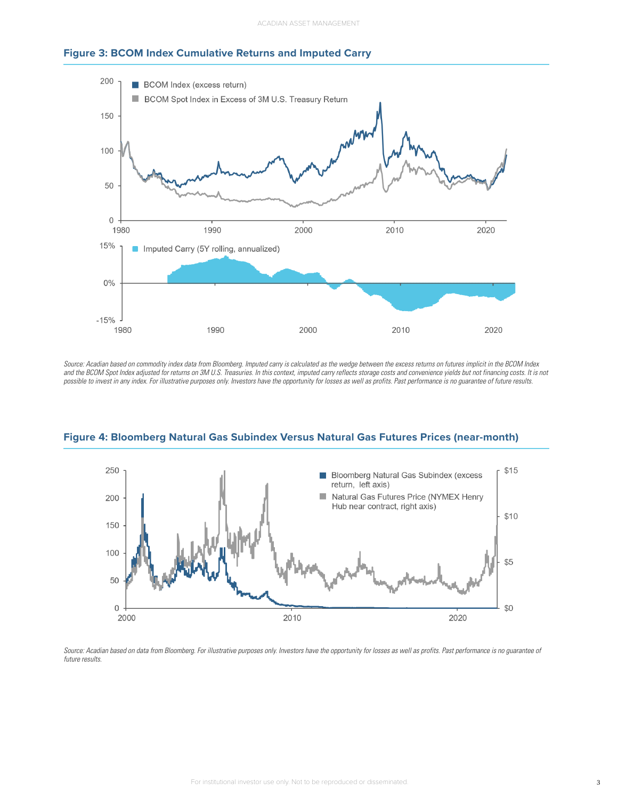



*Source: Acadian based on commodity index data from Bloomberg. Imputed carry is calculated as the wedge between the excess returns on futures implicit in the BCOM Index*  and the BCOM Spot Index adjusted for returns on 3M U.S. Treasuries. In this context, imputed carry reflects storage costs and convenience yields but not financing costs. It is not *possible to invest in any index. For illustrative purposes only. Investors have the opportunity for losses as well as profits. Past performance is no guarantee of future results.*



**Figure 4: Bloomberg Natural Gas Subindex Versus Natural Gas Futures Prices (near-month)** 

Source: Acadian based on data from Bloomberg. For illustrative purposes only. Investors have the opportunity for losses as well as profits. Past performance is no guarantee of *future results.*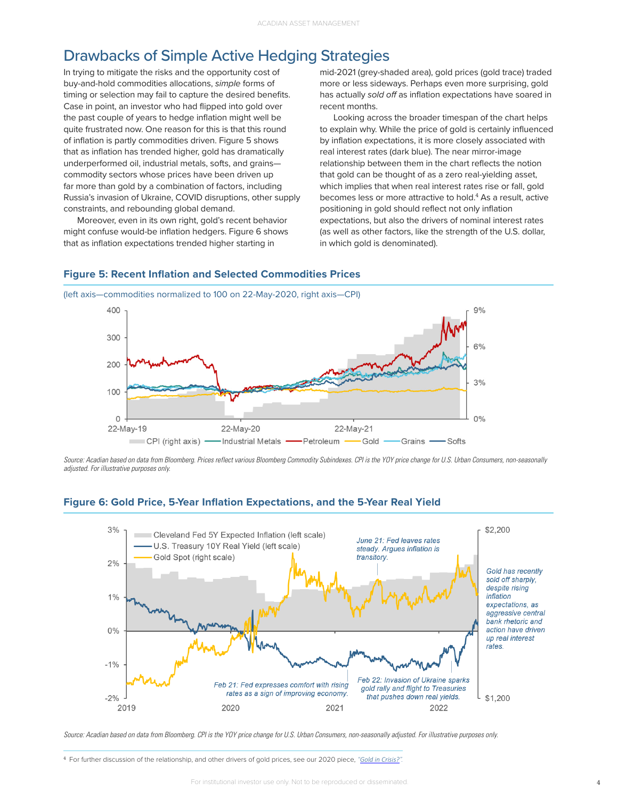#### Drawbacks of Simple Active Hedging Strategies

In trying to mitigate the risks and the opportunity cost of buy-and-hold commodities allocations, *simple* forms of timing or selection may fail to capture the desired benefits. Case in point, an investor who had flipped into gold over the past couple of years to hedge inflation might well be quite frustrated now. One reason for this is that this round of inflation is partly commodities driven. Figure 5 shows that as inflation has trended higher, gold has dramatically underperformed oil, industrial metals, softs, and grains commodity sectors whose prices have been driven up far more than gold by a combination of factors, including Russia's invasion of Ukraine, COVID disruptions, other supply constraints, and rebounding global demand.

Moreover, even in its own right, gold's recent behavior might confuse would-be inflation hedgers. Figure 6 shows that as inflation expectations trended higher starting in

mid-2021 (grey-shaded area), gold prices (gold trace) traded more or less sideways. Perhaps even more surprising, gold has actually *sold off* as inflation expectations have soared in recent months.

Looking across the broader timespan of the chart helps to explain why. While the price of gold is certainly influenced by inflation expectations, it is more closely associated with real interest rates (dark blue). The near mirror-image relationship between them in the chart reflects the notion that gold can be thought of as a zero real-yielding asset, which implies that when real interest rates rise or fall, gold becomes less or more attractive to hold.<sup>4</sup> As a result, active positioning in gold should reflect not only inflation expectations, but also the drivers of nominal interest rates (as well as other factors, like the strength of the U.S. dollar, in which gold is denominated).



(left axis—commodities normalized to 100 on 22-May-2020, right axis—CPI)



*Source: Acadian based on data from Bloomberg. Prices reflect various Bloomberg Commodity Subindexes. CPI is the YOY price change for U.S. Urban Consumers, non-seasonally adjusted. For illustrative purposes only.*





*Source: Acadian based on data from Bloomberg. CPI is the YOY price change for U.S. Urban Consumers, non-seasonally adjusted. For illustrative purposes only.*

<sup>4</sup> For further discussion of the relationship, and other drivers of gold prices, see our 2020 piece, *"[Gold in Crisis?](https://www.acadian-asset.com/investment-insights/multi-asset-investing/gold-in-crisis)".*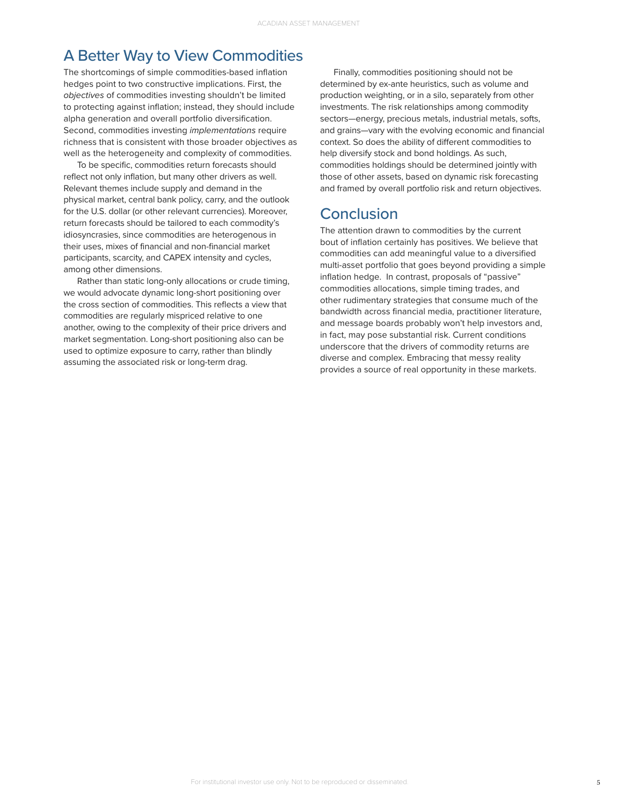#### A Better Way to View Commodities

The shortcomings of simple commodities-based inflation hedges point to two constructive implications. First, the *objectives* of commodities investing shouldn't be limited to protecting against inflation; instead, they should include alpha generation and overall portfolio diversification. Second, commodities investing *implementations* require richness that is consistent with those broader objectives as well as the heterogeneity and complexity of commodities.

To be specific, commodities return forecasts should reflect not only inflation, but many other drivers as well. Relevant themes include supply and demand in the physical market, central bank policy, carry, and the outlook for the U.S. dollar (or other relevant currencies). Moreover, return forecasts should be tailored to each commodity's idiosyncrasies, since commodities are heterogenous in their uses, mixes of financial and non-financial market participants, scarcity, and CAPEX intensity and cycles, among other dimensions.

Rather than static long-only allocations or crude timing, we would advocate dynamic long-short positioning over the cross section of commodities. This reflects a view that commodities are regularly mispriced relative to one another, owing to the complexity of their price drivers and market segmentation. Long-short positioning also can be used to optimize exposure to carry, rather than blindly assuming the associated risk or long-term drag.

Finally, commodities positioning should not be determined by ex-ante heuristics, such as volume and production weighting, or in a silo, separately from other investments. The risk relationships among commodity sectors—energy, precious metals, industrial metals, softs, and grains—vary with the evolving economic and financial context. So does the ability of different commodities to help diversify stock and bond holdings. As such, commodities holdings should be determined jointly with those of other assets, based on dynamic risk forecasting and framed by overall portfolio risk and return objectives.

#### Conclusion

The attention drawn to commodities by the current bout of inflation certainly has positives. We believe that commodities can add meaningful value to a diversified multi-asset portfolio that goes beyond providing a simple inflation hedge. In contrast, proposals of "passive" commodities allocations, simple timing trades, and other rudimentary strategies that consume much of the bandwidth across financial media, practitioner literature, and message boards probably won't help investors and, in fact, may pose substantial risk. Current conditions underscore that the drivers of commodity returns are diverse and complex. Embracing that messy reality provides a source of real opportunity in these markets.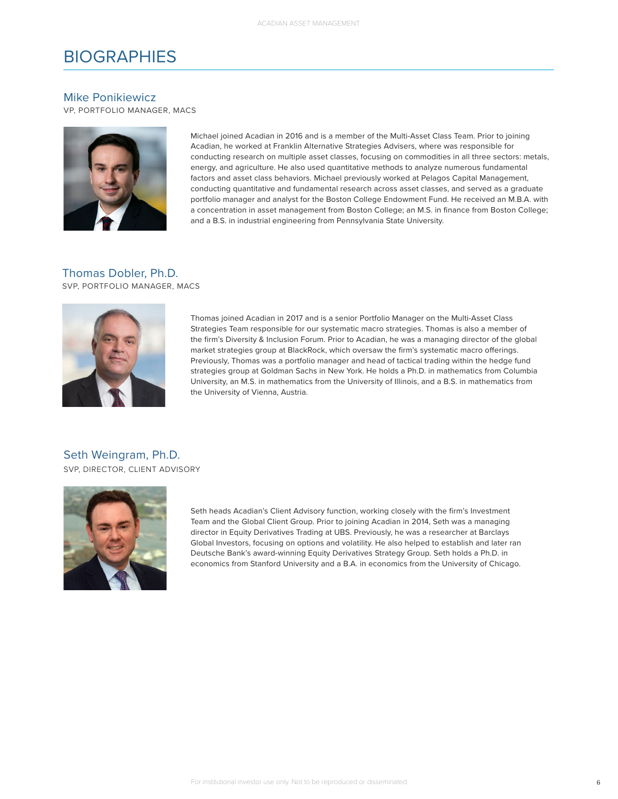### **BIOGRAPHIES**

#### Mike Ponikiewicz

VP, PORTFOLIO MANAGER, MACS



Michael joined Acadian in 2016 and is a member of the Multi-Asset Class Team. Prior to joining Acadian, he worked at Franklin Alternative Strategies Advisers, where was responsible for conducting research on multiple asset classes, focusing on commodities in all three sectors: metals, energy, and agriculture. He also used quantitative methods to analyze numerous fundamental factors and asset class behaviors. Michael previously worked at Pelagos Capital Management, conducting quantitative and fundamental research across asset classes, and served as a graduate portfolio manager and analyst for the Boston College Endowment Fund. He received an M.B.A. with a concentration in asset management from Boston College; an M.S. in finance from Boston College; and a B.S. in industrial engineering from Pennsylvania State University.

## Thomas Dobler, Ph.D.

SVP, PORTFOLIO MANAGER, MACS



Thomas joined Acadian in 2017 and is a senior Portfolio Manager on the Multi-Asset Class Strategies Team responsible for our systematic macro strategies. Thomas is also a member of the firm's Diversity & Inclusion Forum. Prior to Acadian, he was a managing director of the global market strategies group at BlackRock, which oversaw the firm's systematic macro offerings. Previously, Thomas was a portfolio manager and head of tactical trading within the hedge fund strategies group at Goldman Sachs in New York. He holds a Ph.D. in mathematics from Columbia University, an M.S. in mathematics from the University of Illinois, and a B.S. in mathematics from the University of Vienna, Austria.

SVP, DIRECTOR, CLIENT ADVISORY Seth Weingram, Ph.D.



Seth heads Acadian's Client Advisory function, working closely with the firm's Investment Team and the Global Client Group. Prior to joining Acadian in 2014, Seth was a managing director in Equity Derivatives Trading at UBS. Previously, he was a researcher at Barclays Global Investors, focusing on options and volatility. He also helped to establish and later ran Deutsche Bank's award-winning Equity Derivatives Strategy Group. Seth holds a Ph.D. in economics from Stanford University and a B.A. in economics from the University of Chicago.